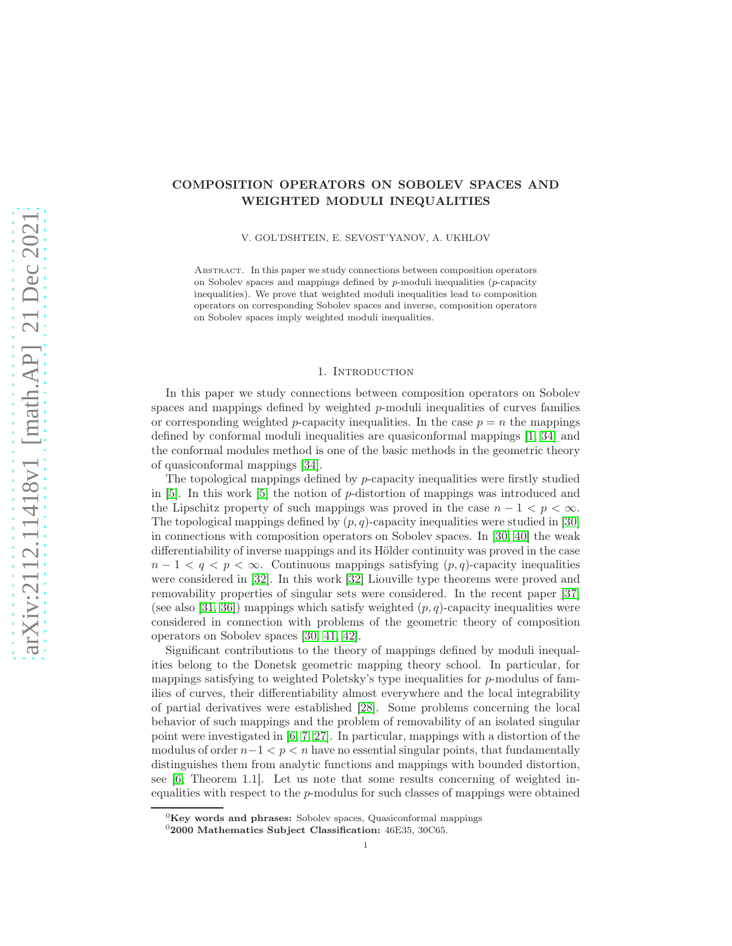# COMPOSITION OPERATORS ON SOBOLEV SPACES AND WEIGHTED MODULI INEQUALITIES

V. GOL'DSHTEIN, E. SEVOST'YANOV, A. UKHLOV

Abstract. In this paper we study connections between composition operators on Sobolev spaces and mappings defined by  $p$ -moduli inequalities ( $p$ -capacity inequalities). We prove that weighted moduli inequalities lead to composition operators on corresponding Sobolev spaces and inverse, composition operators on Sobolev spaces imply weighted moduli inequalities.

## 1. INTRODUCTION

In this paper we study connections between composition operators on Sobolev spaces and mappings defined by weighted  $p$ -moduli inequalities of curves families or corresponding weighted p-capacity inequalities. In the case  $p = n$  the mappings defined by conformal moduli inequalities are quasiconformal mappings [\[1,](#page-8-0) [34\]](#page-9-0) and the conformal modules method is one of the basic methods in the geometric theory of quasiconformal mappings [\[34\]](#page-9-0).

The topological mappings defined by  $p$ -capacity inequalities were firstly studied in [\[5\]](#page-8-1). In this work [\[5\]](#page-8-1) the notion of p-distortion of mappings was introduced and the Lipschitz property of such mappings was proved in the case  $n - 1 < p < \infty$ . The topological mappings defined by  $(p, q)$ -capacity inequalities were studied in [\[30\]](#page-9-1) in connections with composition operators on Sobolev spaces. In [\[30,](#page-9-1) [40\]](#page-10-0) the weak differentiability of inverse mappings and its Hölder continuity was proved in the case  $n-1 < q < p < \infty$ . Continuous mappings satisfying  $(p,q)$ -capacity inequalities were considered in [\[32\]](#page-9-2). In this work [\[32\]](#page-9-2) Liouville type theorems were proved and removability properties of singular sets were considered. In the recent paper [\[37\]](#page-9-3) (see also [\[31,](#page-9-4) [36\]](#page-9-5)) mappings which satisfy weighted  $(p, q)$ -capacity inequalities were considered in connection with problems of the geometric theory of composition operators on Sobolev spaces [\[30,](#page-9-1) [41,](#page-10-1) [42\]](#page-10-2).

Significant contributions to the theory of mappings defined by moduli inequalities belong to the Donetsk geometric mapping theory school. In particular, for mappings satisfying to weighted Poletsky's type inequalities for p-modulus of families of curves, their differentiability almost everywhere and the local integrability of partial derivatives were established [\[28\]](#page-9-6). Some problems concerning the local behavior of such mappings and the problem of removability of an isolated singular point were investigated in [\[6,](#page-8-2) [7,](#page-8-3) [27\]](#page-9-7). In particular, mappings with a distortion of the modulus of order  $n-1 < p < n$  have no essential singular points, that fundamentally distinguishes them from analytic functions and mappings with bounded distortion, see [\[6,](#page-8-2) Theorem 1.1]. Let us note that some results concerning of weighted inequalities with respect to the p-modulus for such classes of mappings were obtained

 ${}^{0}$ Key words and phrases: Sobolev spaces, Quasiconformal mappings

 $02000$  Mathematics Subject Classification:  $46E35, 30C65$ .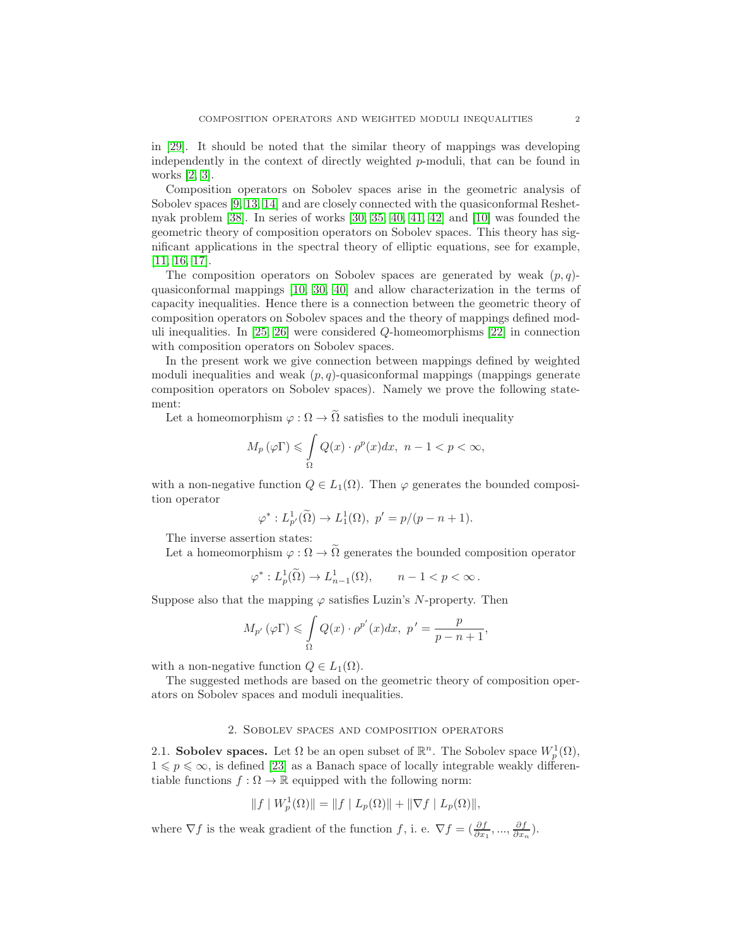in [\[29\]](#page-9-8). It should be noted that the similar theory of mappings was developing independently in the context of directly weighted p-moduli, that can be found in works [\[2,](#page-8-4) [3\]](#page-8-5).

Composition operators on Sobolev spaces arise in the geometric analysis of Sobolev spaces [\[9,](#page-8-6) [13,](#page-9-9) [14\]](#page-9-10) and are closely connected with the quasiconformal Reshetnyak problem [\[38\]](#page-9-11). In series of works [\[30,](#page-9-1) [35,](#page-9-12) [40,](#page-10-0) [41,](#page-10-1) [42\]](#page-10-2) and [\[10\]](#page-8-7) was founded the geometric theory of composition operators on Sobolev spaces. This theory has significant applications in the spectral theory of elliptic equations, see for example, [\[11,](#page-8-8) [16,](#page-9-13) [17\]](#page-9-14).

The composition operators on Sobolev spaces are generated by weak  $(p, q)$ quasiconformal mappings [\[10,](#page-8-7) [30,](#page-9-1) [40\]](#page-10-0) and allow characterization in the terms of capacity inequalities. Hence there is a connection between the geometric theory of composition operators on Sobolev spaces and the theory of mappings defined moduli inequalities. In [\[25,](#page-9-15) [26\]](#page-9-16) were considered Q-homeomorphisms [\[22\]](#page-9-17) in connection with composition operators on Sobolev spaces.

In the present work we give connection between mappings defined by weighted moduli inequalities and weak  $(p, q)$ -quasiconformal mappings (mappings generate composition operators on Sobolev spaces). Namely we prove the following statement:

Let a homeomorphism  $\varphi : \Omega \to \tilde{\Omega}$  satisfies to the moduli inequality

$$
M_p(\varphi\Gamma) \leq \int\limits_{\Omega} Q(x) \cdot \rho^p(x) dx, \quad n-1 < p < \infty,
$$

with a non-negative function  $Q \in L_1(\Omega)$ . Then  $\varphi$  generates the bounded composition operator

$$
\varphi^*: L^1_{p'}(\tilde{\Omega}) \to L^1_1(\Omega), \ p' = p/(p - n + 1).
$$

The inverse assertion states:

Let a homeomorphism  $\varphi : \Omega \to \tilde{\Omega}$  generates the bounded composition operator

$$
\varphi^*: L^1_p(\widetilde{\Omega}) \to L^1_{n-1}(\Omega), \qquad n-1 < p < \infty \, .
$$

Suppose also that the mapping  $\varphi$  satisfies Luzin's N-property. Then

$$
M_{p'}(\varphi \Gamma) \leq \int_{\Omega} Q(x) \cdot \rho^{p'}(x) dx, \ p' = \frac{p}{p - n + 1},
$$

with a non-negative function  $Q \in L_1(\Omega)$ .

The suggested methods are based on the geometric theory of composition operators on Sobolev spaces and moduli inequalities.

#### 2. Sobolev spaces and composition operators

2.1. Sobolev spaces. Let  $\Omega$  be an open subset of  $\mathbb{R}^n$ . The Sobolev space  $W_p^1(\Omega)$ ,  $1 \leqslant p \leqslant \infty$ , is defined [\[23\]](#page-9-18) as a Banach space of locally integrable weakly differentiable functions  $f : \Omega \to \mathbb{R}$  equipped with the following norm:

$$
|| f | W_p^1(\Omega) || = || f | L_p(\Omega) || + || \nabla f | L_p(\Omega) ||,
$$

where  $\nabla f$  is the weak gradient of the function f, i. e.  $\nabla f = \left(\frac{\partial f}{\partial x_1}, \ldots, \frac{\partial f}{\partial x_n}\right)$ .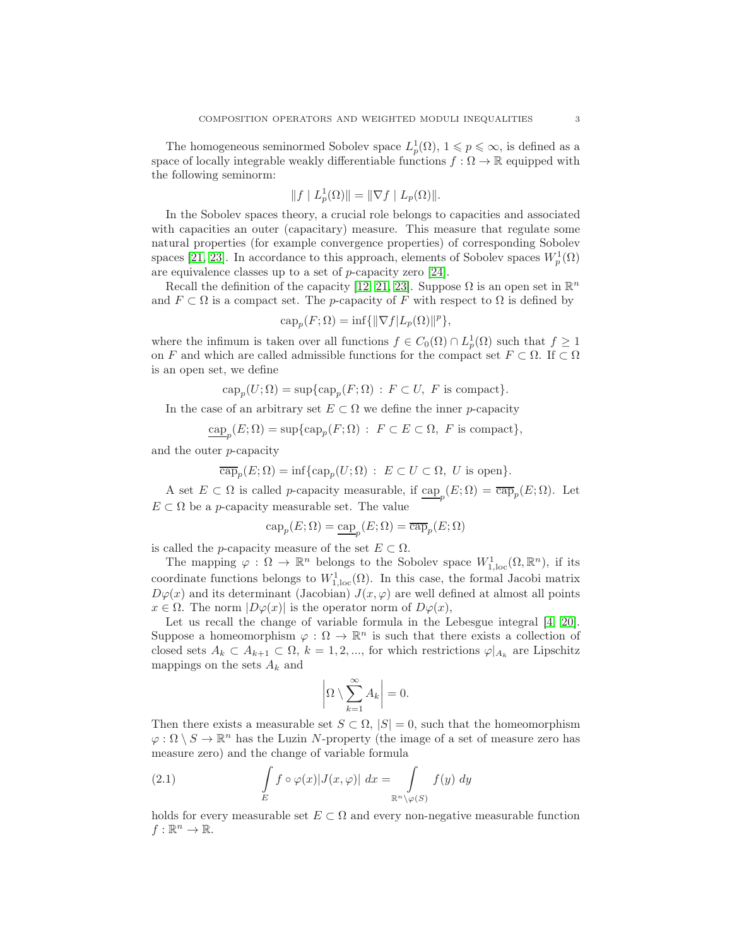The homogeneous seminormed Sobolev space  $L_p^1(\Omega)$ ,  $1 \leqslant p \leqslant \infty$ , is defined as a space of locally integrable weakly differentiable functions  $f : \Omega \to \mathbb{R}$  equipped with the following seminorm:

$$
||f | L_p^1(\Omega)|| = || \nabla f | L_p(\Omega)||.
$$

In the Sobolev spaces theory, a crucial role belongs to capacities and associated with capacities an outer (capacitary) measure. This measure that regulate some natural properties (for example convergence properties) of corresponding Sobolev spaces [\[21,](#page-9-19) [23\]](#page-9-18). In accordance to this approach, elements of Sobolev spaces  $W_p^1(\Omega)$ are equivalence classes up to a set of p-capacity zero [\[24\]](#page-9-20).

Recall the definition of the capacity [\[12,](#page-8-9) [21,](#page-9-19) [23\]](#page-9-18). Suppose  $\Omega$  is an open set in  $\mathbb{R}^n$ and  $F \subset \Omega$  is a compact set. The *p*-capacity of F with respect to  $\Omega$  is defined by

$$
\operatorname{cap}_p(F; \Omega) = \inf \{ ||\nabla f| L_p(\Omega) ||^p \},
$$

where the infimum is taken over all functions  $f \in C_0(\Omega) \cap L^1_p(\Omega)$  such that  $f \geq 1$ on F and which are called admissible functions for the compact set  $F \subset \Omega$ . If  $\subset \Omega$ is an open set, we define

 $\text{cap}_p(U; \Omega) = \text{sup}\{\text{cap}_p(F; \Omega) : F \subset U, F \text{ is compact}\}.$ 

In the case of an arbitrary set  $E \subset \Omega$  we define the inner p-capacity

 $\underline{\text{cap}}_p(E;\Omega) = \sup\{\text{cap}_p(F;\Omega) : F \subset E \subset \Omega, F \text{ is compact}\},\$ 

and the outer p-capacity

$$
\overline{\text{cap}}_p(E;\Omega) = \inf \{ \text{cap}_p(U;\Omega) \, : \, E \subset U \subset \Omega, \ U \text{ is open} \}.
$$

A set  $E \subset \Omega$  is called *p*-capacity measurable, if  $\underline{\text{cap}}_p(E;\Omega) = \overline{\text{cap}}_p(E;\Omega)$ . Let  $E \subset \Omega$  be a *p*-capacity measurable set. The value

$$
\text{cap}_p(E;\Omega)=\underline{\text{cap}}_p(E;\Omega)=\overline{\text{cap}}_p(E;\Omega)
$$

is called the *p*-capacity measure of the set  $E \subset \Omega$ .

The mapping  $\varphi : \Omega \to \mathbb{R}^n$  belongs to the Sobolev space  $W^1_{1,loc}(\Omega,\mathbb{R}^n)$ , if its coordinate functions belongs to  $W_{1,\text{loc}}^1(\Omega)$ . In this case, the formal Jacobi matrix  $D\varphi(x)$  and its determinant (Jacobian)  $J(x, \varphi)$  are well defined at almost all points  $x \in \Omega$ . The norm  $|D\varphi(x)|$  is the operator norm of  $D\varphi(x)$ ,

Let us recall the change of variable formula in the Lebesgue integral [\[4,](#page-8-10) [20\]](#page-9-21). Suppose a homeomorphism  $\varphi : \Omega \to \mathbb{R}^n$  is such that there exists a collection of closed sets  $A_k \subset A_{k+1} \subset \Omega, k = 1, 2, ...,$  for which restrictions  $\varphi|_{A_k}$  are Lipschitz mappings on the sets  $A_k$  and

$$
\left|\Omega\setminus\sum_{k=1}^{\infty}A_k\right|=0.
$$

Then there exists a measurable set  $S \subset \Omega, |S| = 0$ , such that the homeomorphism  $\varphi : \Omega \setminus S \to \mathbb{R}^n$  has the Luzin N-property (the image of a set of measure zero has measure zero) and the change of variable formula

<span id="page-2-0"></span>(2.1) 
$$
\int_{E} f \circ \varphi(x) |J(x, \varphi)| dx = \int_{\mathbb{R}^{n} \setminus \varphi(S)} f(y) dy
$$

holds for every measurable set  $E \subset \Omega$  and every non-negative measurable function  $f:\mathbb{R}^n\to\mathbb{R}.$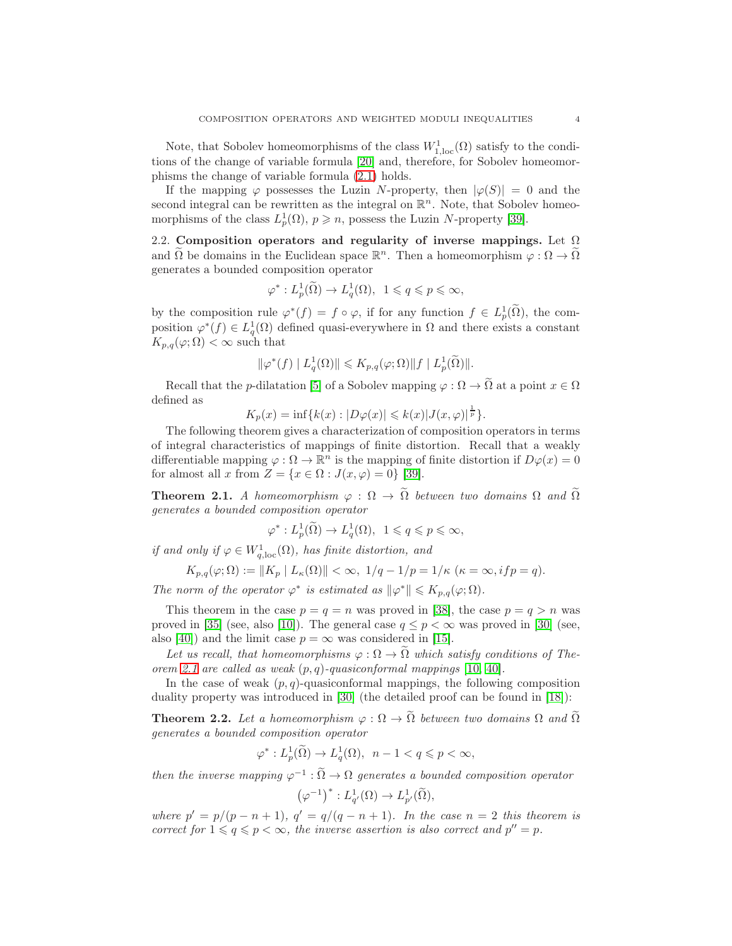Note, that Sobolev homeomorphisms of the class  $W_{1,loc}^1(\Omega)$  satisfy to the conditions of the change of variable formula [\[20\]](#page-9-21) and, therefore, for Sobolev homeomorphisms the change of variable formula [\(2.1\)](#page-2-0) holds.

If the mapping  $\varphi$  possesses the Luzin N-property, then  $|\varphi(S)| = 0$  and the second integral can be rewritten as the integral on  $\mathbb{R}^n$ . Note, that Sobolev homeomorphisms of the class  $L_p^1(\Omega)$ ,  $p \geq n$ , possess the Luzin N-property [\[39\]](#page-9-22).

2.2. Composition operators and regularity of inverse mappings. Let  $\Omega$ and  $\tilde{\Omega}$  be domains in the Euclidean space  $\mathbb{R}^n$ . Then a homeomorphism  $\varphi : \Omega \to \tilde{\Omega}$ generates a bounded composition operator

$$
\varphi^*: L_p^1(\widetilde{\Omega}) \to L_q^1(\Omega), \ \ 1 \leqslant q \leqslant p \leqslant \infty,
$$

by the composition rule  $\varphi^*(f) = f \circ \varphi$ , if for any function  $f \in L^1_p(\Omega)$ , the composition  $\varphi^*(f) \in L_q^1(\Omega)$  defined quasi-everywhere in  $\Omega$  and there exists a constant  $K_{p,q}(\varphi; \Omega) < \infty$  such that

$$
\|\varphi^*(f) \mid L_q^1(\Omega)\| \leqslant K_{p,q}(\varphi; \Omega) \|f \mid L_p^1(\widetilde{\Omega})\|.
$$

Recall that the p-dilatation [\[5\]](#page-8-1) of a Sobolev mapping  $\varphi : \Omega \to \tilde{\Omega}$  at a point  $x \in \Omega$ defined as

$$
K_p(x) = \inf \{ k(x) : |D\varphi(x)| \leq k(x) |J(x, \varphi)|^{\frac{1}{p}} \}.
$$

The following theorem gives a characterization of composition operators in terms of integral characteristics of mappings of finite distortion. Recall that a weakly differentiable mapping  $\varphi : \Omega \to \mathbb{R}^n$  is the mapping of finite distortion if  $D\varphi(x) = 0$ for almost all x from  $Z = \{x \in \Omega : J(x, \varphi) = 0\}$  [\[39\]](#page-9-22).

<span id="page-3-0"></span>**Theorem 2.1.** *A homeomorphism*  $\varphi : \Omega \to \tilde{\Omega}$  *between two domains*  $\Omega$  *and*  $\tilde{\Omega}$ *generates a bounded composition operator*

$$
\varphi^*: L_p^1(\tilde{\Omega}) \to L_q^1(\Omega), \ \ 1 \leqslant q \leqslant p \leqslant \infty,
$$

*if and only if*  $\varphi \in W^1_{q,loc}(\Omega)$ *, has finite distortion, and* 

$$
K_{p,q}(\varphi;\Omega) := \|K_p \mid L_{\kappa}(\Omega)\| < \infty, \ 1/q - 1/p = 1/\kappa \ (\kappa = \infty, if \ p = q).
$$

*The norm of the operator*  $\varphi^*$  *is estimated as*  $\|\varphi^*\| \leq K_{p,q}(\varphi; \Omega)$ *.* 

This theorem in the case  $p = q = n$  was proved in [\[38\]](#page-9-11), the case  $p = q > n$  was proved in [\[35\]](#page-9-12) (see, also [\[10\]](#page-8-7)). The general case  $q \leq p < \infty$  was proved in [\[30\]](#page-9-1) (see, also [\[40\]](#page-10-0)) and the limit case  $p = \infty$  was considered in [\[15\]](#page-9-23).

Let us recall, that homeomorphisms  $\varphi : \Omega \to \tilde{\Omega}$  which satisfy conditions of The*orem* [2.1](#page-3-0) are called as weak  $(p, q)$ -quasiconformal mappings [\[10,](#page-8-7) [40\]](#page-10-0)*.* 

In the case of weak  $(p, q)$ -quasiconformal mappings, the following composition duality property was introduced in [\[30\]](#page-9-1) (the detailed proof can be found in [\[18\]](#page-9-24)):

<span id="page-3-1"></span>**Theorem 2.2.** Let a homeomorphism  $\varphi : \Omega \to \tilde{\Omega}$  between two domains  $\Omega$  and  $\tilde{\Omega}$ *generates a bounded composition operator*

$$
\varphi^*: L^1_p(\widetilde{\Omega}) \to L^1_q(\Omega), \ \ n-1 < q \leqslant p < \infty,
$$

*then the inverse mapping*  $\varphi^{-1} : \Omega \to \Omega$  *generates a bounded composition operator*  $\left(\varphi^{-1}\right)^{*}:L_{q'}^{1}(\Omega)\rightarrow L_{p'}^{1}(\widetilde{\Omega}),$ 

*where*  $p' = p/(p - n + 1)$ ,  $q' = q/(q - n + 1)$ . In the case  $n = 2$  this theorem is *correct for*  $1 \leq q \leq p < \infty$ *, the inverse assertion is also correct and*  $p'' = p$ *.*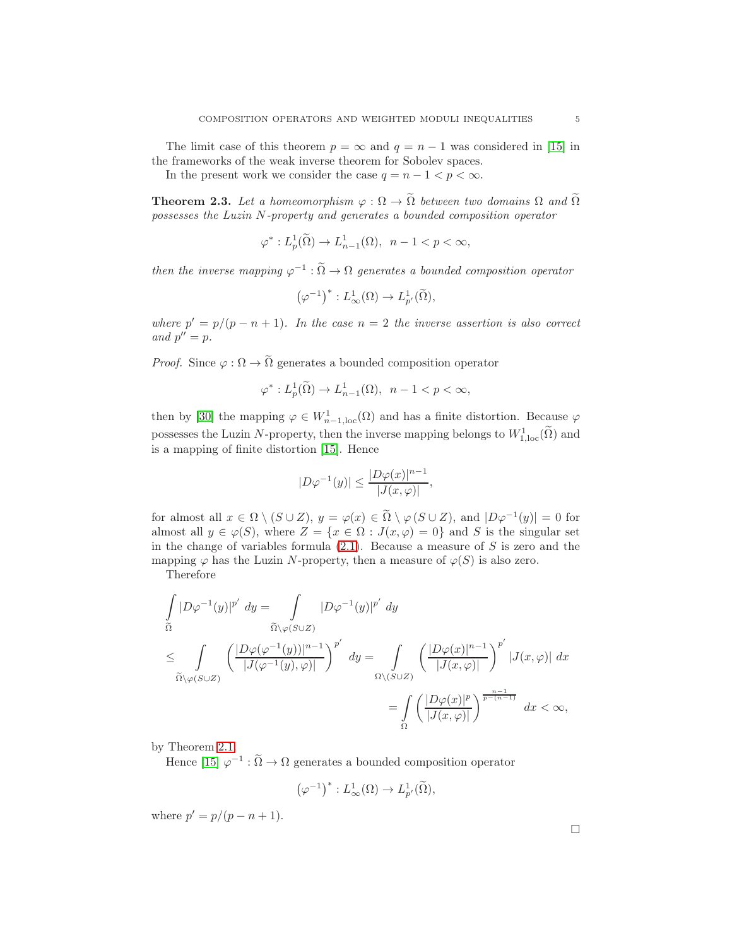The limit case of this theorem  $p = \infty$  and  $q = n - 1$  was considered in [\[15\]](#page-9-23) in the frameworks of the weak inverse theorem for Sobolev spaces.

In the present work we consider the case  $q = n - 1 < p < \infty$ .

<span id="page-4-0"></span>**Theorem 2.3.** Let a homeomorphism  $\varphi : \Omega \to \tilde{\Omega}$  between two domains  $\Omega$  and  $\tilde{\Omega}$ *possesses the Luzin* N*-property and generates a bounded composition operator*

$$
\varphi^*: L^1_p(\widetilde{\Omega}) \to L^1_{n-1}(\Omega), \ \ n-1 < p < \infty,
$$

*then the inverse mapping*  $\varphi^{-1} : \tilde{\Omega} \to \Omega$  *generates a bounded composition operator* 

$$
\left(\varphi^{-1}\right)^{*}:L_{\infty}^{1}(\Omega)\to L_{p'}^{1}(\widetilde{\Omega}),
$$

*where*  $p' = p/(p - n + 1)$ *. In the case*  $n = 2$  *the inverse assertion is also correct* and  $p'' = p$ .

*Proof.* Since  $\varphi : \Omega \to \tilde{\Omega}$  generates a bounded composition operator

$$
\varphi^*: L^1_p(\tilde{\Omega}) \to L^1_{n-1}(\Omega), \ \ n-1 < p < \infty,
$$

then by [\[30\]](#page-9-1) the mapping  $\varphi \in W_{n-1,loc}^1(\Omega)$  and has a finite distortion. Because  $\varphi$ possesses the Luzin N-property, then the inverse mapping belongs to  $W^1_{1,loc}(\Omega)$  and is a mapping of finite distortion [\[15\]](#page-9-23). Hence

$$
|D\varphi^{-1}(y)| \le \frac{|D\varphi(x)|^{n-1}}{|J(x,\varphi)|},
$$

for almost all  $x \in \Omega \setminus (S \cup Z)$ ,  $y = \varphi(x) \in \Omega \setminus \varphi(S \cup Z)$ , and  $|D\varphi^{-1}(y)| = 0$  for almost all  $y \in \varphi(S)$ , where  $Z = \{x \in \Omega : J(x, \varphi) = 0\}$  and S is the singular set in the change of variables formula  $(2.1)$ . Because a measure of S is zero and the mapping  $\varphi$  has the Luzin N-property, then a measure of  $\varphi(S)$  is also zero.

Therefore

$$
\int_{\widetilde{\Omega}} |D\varphi^{-1}(y)|^{p'} dy = \int_{\widetilde{\Omega}\backslash\varphi(S\cup Z)} |D\varphi^{-1}(y)|^{p'} dy
$$
\n
$$
\leq \int_{\widetilde{\Omega}\backslash\varphi(S\cup Z)} \left(\frac{|D\varphi(\varphi^{-1}(y))|^{n-1}}{|J(\varphi^{-1}(y),\varphi)|}\right)^{p'} dy = \int_{\Omega\backslash(S\cup Z)} \left(\frac{|D\varphi(x)|^{n-1}}{|J(x,\varphi)|}\right)^{p'} |J(x,\varphi)| dx
$$
\n
$$
= \int_{\Omega} \left(\frac{|D\varphi(x)|^{p}}{|J(x,\varphi)|}\right)^{\frac{n-1}{p-(n-1)}} dx < \infty,
$$

by Theorem [2.1.](#page-3-0)

Hence [\[15\]](#page-9-23)  $\varphi^{-1} : \tilde{\Omega} \to \Omega$  generates a bounded composition operator

$$
\left(\varphi^{-1}\right)^*:L^1_\infty(\Omega)\to L^1_{p'}(\widetilde\Omega),
$$

where  $p' = p/(p - n + 1)$ .

 $\Box$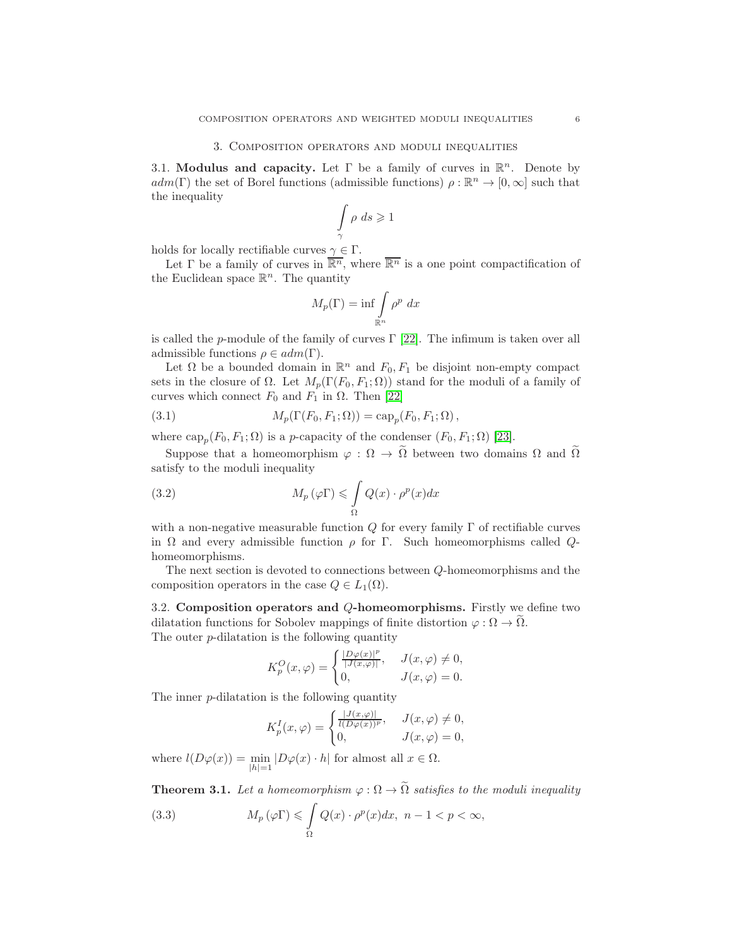## 3. Composition operators and moduli inequalities

3.1. Modulus and capacity. Let  $\Gamma$  be a family of curves in  $\mathbb{R}^n$ . Denote by  $adm(\Gamma)$  the set of Borel functions (admissible functions)  $\rho : \mathbb{R}^n \to [0, \infty]$  such that the inequality

$$
\int_{\gamma} \rho \, ds \geqslant 1
$$

holds for locally rectifiable curves  $\gamma \in \Gamma$ .

Let  $\Gamma$  be a family of curves in  $\overline{\mathbb{R}^n}$ , where  $\overline{\mathbb{R}^n}$  is a one point compactification of the Euclidean space  $\mathbb{R}^n$ . The quantity

$$
M_p(\Gamma) = \inf \int_{\mathbb{R}^n} \rho^p \ dx
$$

is called the p-module of the family of curves  $\Gamma$  [\[22\]](#page-9-17). The infimum is taken over all admissible functions  $\rho \in adm(\Gamma)$ .

Let  $\Omega$  be a bounded domain in  $\mathbb{R}^n$  and  $F_0, F_1$  be disjoint non-empty compact sets in the closure of  $\Omega$ . Let  $M_p(\Gamma(F_0, F_1; \Omega))$  stand for the moduli of a family of curves which connect  $F_0$  and  $F_1$  in  $\Omega$ . Then [\[22\]](#page-9-17)

(3.1) 
$$
M_p(\Gamma(F_0, F_1; \Omega)) = \text{cap}_p(F_0, F_1; \Omega),
$$

where  $\text{cap}_p(F_0, F_1; \Omega)$  is a p-capacity of the condenser  $(F_0, F_1; \Omega)$  [\[23\]](#page-9-18).

Suppose that a homeomorphism  $\varphi : \Omega \to \tilde{\Omega}$  between two domains  $\Omega$  and  $\tilde{\Omega}$ satisfy to the moduli inequality

(3.2) 
$$
M_p(\varphi \Gamma) \leqslant \int\limits_{\Omega} Q(x) \cdot \rho^p(x) dx
$$

with a non-negative measurable function  $Q$  for every family  $\Gamma$  of rectifiable curves in  $\Omega$  and every admissible function  $\rho$  for  $\Gamma$ . Such homeomorphisms called  $Q$ homeomorphisms.

The next section is devoted to connections between Q-homeomorphisms and the composition operators in the case  $Q \in L_1(\Omega)$ .

3.2. Composition operators and Q-homeomorphisms. Firstly we define two dilatation functions for Sobolev mappings of finite distortion  $\varphi : \Omega \to \Omega$ . The outer  $p$ -dilatation is the following quantity

$$
K_p^O(x,\varphi) = \begin{cases} \frac{|D\varphi(x)|^p}{|J(x,\varphi)|}, & J(x,\varphi) \neq 0, \\ 0, & J(x,\varphi) = 0. \end{cases}
$$

The inner p-dilatation is the following quantity

$$
K_p^I(x,\varphi) = \begin{cases} \frac{|J(x,\varphi)|}{l(D\varphi(x))^p}, & J(x,\varphi) \neq 0, \\ 0, & J(x,\varphi) = 0, \end{cases}
$$

where  $l(D\varphi(x)) = \min_{|h|=1} |D\varphi(x) \cdot h|$  for almost all  $x \in \Omega$ .

<span id="page-5-0"></span>**Theorem 3.1.** Let a homeomorphism  $\varphi : \Omega \to \tilde{\Omega}$  satisfies to the moduli inequality

<span id="page-5-1"></span>(3.3) 
$$
M_p(\varphi \Gamma) \leqslant \int_{\Omega} Q(x) \cdot \rho^p(x) dx, \quad n-1 < p < \infty,
$$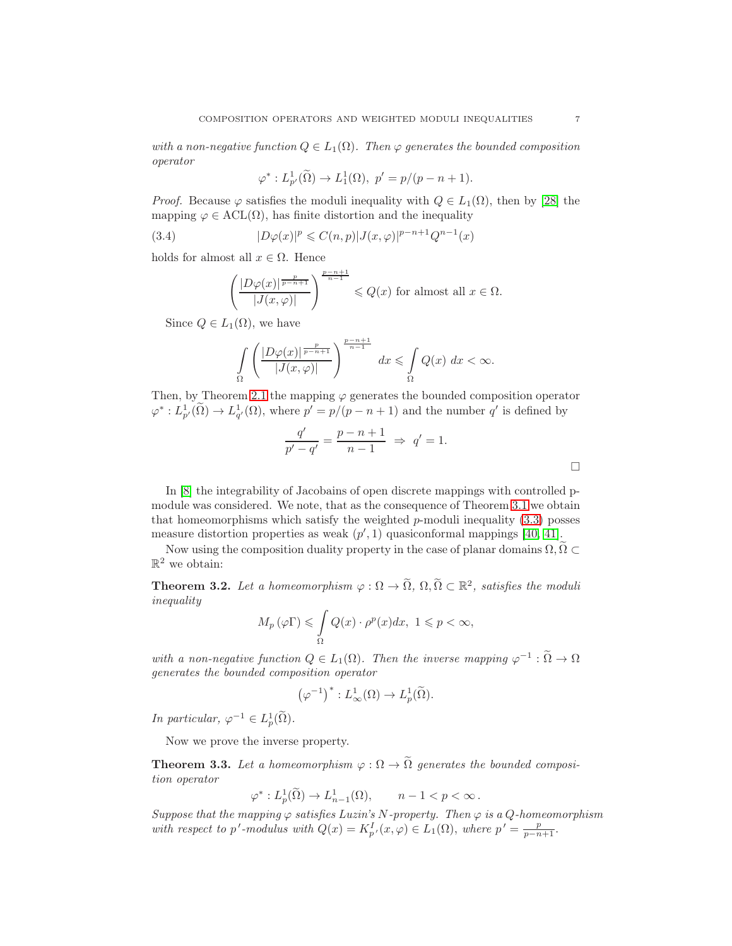*with a non-negative function*  $Q \in L_1(\Omega)$ *. Then*  $\varphi$  *generates the bounded composition operator*

$$
\varphi^*: L^1_{p'}(\tilde{\Omega}) \to L^1_1(\Omega), \ p' = p/(p - n + 1).
$$

*Proof.* Because  $\varphi$  satisfies the moduli inequality with  $Q \in L_1(\Omega)$ , then by [\[28\]](#page-9-6) the mapping  $\varphi \in \text{ACL}(\Omega)$ , has finite distortion and the inequality

(3.4) 
$$
|D\varphi(x)|^p \leq C(n,p)|J(x,\varphi)|^{p-n+1}Q^{n-1}(x)
$$

holds for almost all  $x \in \Omega$ . Hence

$$
\left(\frac{|D\varphi(x)|^{\frac{p}{p-n+1}}}{|J(x,\varphi)|}\right)^{\frac{p-n+1}{n-1}} \leqslant Q(x) \text{ for almost all } x \in \Omega.
$$

Since  $Q \in L_1(\Omega)$ , we have

$$
\int_{\Omega} \left( \frac{|D\varphi(x)|^{\frac{p}{p-n+1}}}{|J(x,\varphi)|} \right)^{\frac{p-n+1}{n-1}} dx \leq \int_{\Omega} Q(x) dx < \infty.
$$

Then, by Theorem [2.1](#page-3-0) the mapping  $\varphi$  generates the bounded composition operator  $\varphi^*: L^1_{p'}(\Omega) \to L^1_{q'}(\Omega)$ , where  $p' = p/(p - n + 1)$  and the number q' is defined by

$$
\frac{q'}{p'-q'} = \frac{p-n+1}{n-1} \implies q' = 1.
$$

In [\[8\]](#page-8-11) the integrability of Jacobains of open discrete mappings with controlled pmodule was considered. We note, that as the consequence of Theorem [3.1](#page-5-0) we obtain that homeomorphisms which satisfy the weighted  $p$ -moduli inequality  $(3.3)$  posses measure distortion properties as weak  $(p', 1)$  quasiconformal mappings [\[40,](#page-10-0) [41\]](#page-10-1).

Now using the composition duality property in the case of planar domains  $\Omega, \Omega \subset$  $\mathbb{R}^2$  we obtain:

**Theorem 3.2.** Let a homeomorphism  $\varphi : \Omega \to \tilde{\Omega}$ ,  $\Omega, \tilde{\Omega} \subset \mathbb{R}^2$ , satisfies the moduli *inequality*

$$
M_p(\varphi \Gamma) \leq \int_{\Omega} Q(x) \cdot \rho^p(x) dx, \ 1 \leq p < \infty,
$$

with a non-negative function  $Q \in L_1(\Omega)$ . Then the inverse mapping  $\varphi^{-1} : \Omega \to \Omega$ *generates the bounded composition operator*

$$
\left(\varphi^{-1}\right)^{*}: L^1_{\infty}(\Omega) \to L^1_p(\widetilde{\Omega}).
$$

*In particular,*  $\varphi^{-1} \in L^1_p(\tilde{\Omega})$ .

Now we prove the inverse property.

**Theorem 3.3.** Let a homeomorphism  $\varphi : \Omega \to \tilde{\Omega}$  generates the bounded composi*tion operator*

$$
\varphi^* : L^1_p(\widetilde{\Omega}) \to L^1_{n-1}(\Omega), \qquad n-1 < p < \infty \, .
$$

*Suppose that the mapping*  $\varphi$  *satisfies Luzin's* N-property. Then  $\varphi$  *is a Q-homeomorphism* with respect to p'-modulus with  $Q(x) = K_{p'}^I(x, \varphi) \in L_1(\Omega)$ , where  $p' = \frac{p}{p - n + 1}$ .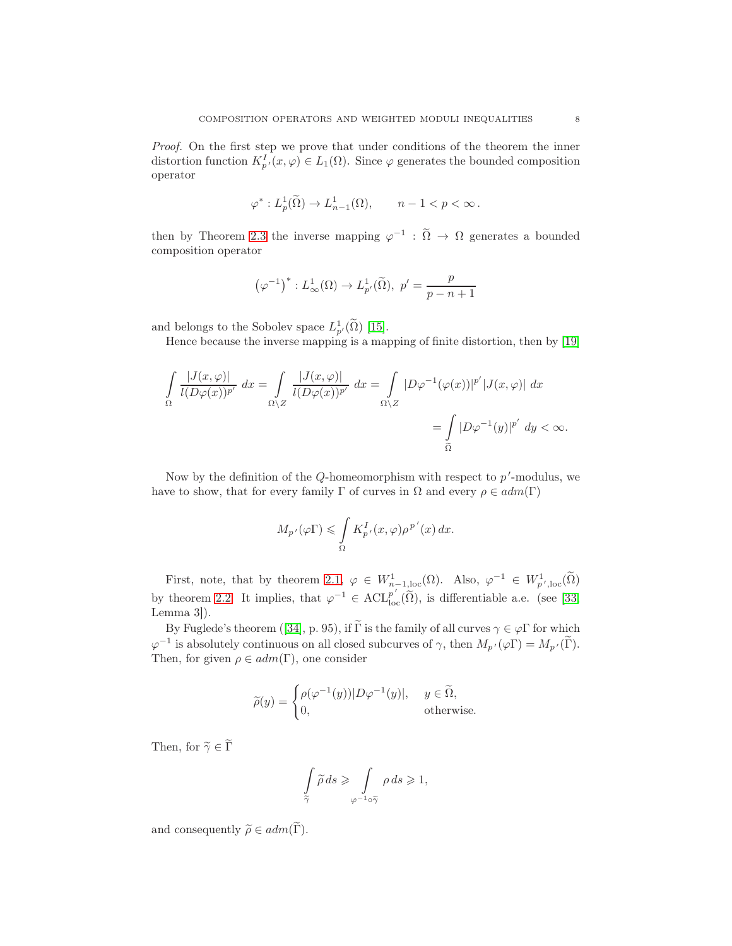*Proof.* On the first step we prove that under conditions of the theorem the inner distortion function  $K_{p'}^I(x,\varphi) \in L_1(\Omega)$ . Since  $\varphi$  generates the bounded composition operator

$$
\varphi^*: L^1_p(\widetilde{\Omega}) \to L^1_{n-1}(\Omega), \qquad n-1 < p < \infty \, .
$$

then by Theorem [2.3](#page-4-0) the inverse mapping  $\varphi^{-1}$  :  $\tilde{\Omega} \to \Omega$  generates a bounded composition operator

$$
\left(\varphi^{-1}\right)^{*}: L^1_{\infty}(\Omega) \to L^1_{p'}(\widetilde{\Omega}), \ p' = \frac{p}{p-n+1}
$$

and belongs to the Sobolev space  $L_{p'}^1(\Omega)$  [\[15\]](#page-9-23).

Hence because the inverse mapping is a mapping of finite distortion, then by [\[19\]](#page-9-25)

$$
\int_{\Omega} \frac{|J(x,\varphi)|}{l(D\varphi(x))^{p'}} dx = \int_{\Omega \backslash Z} \frac{|J(x,\varphi)|}{l(D\varphi(x))^{p'}} dx = \int_{\Omega \backslash Z} |D\varphi^{-1}(\varphi(x))|^{p'} |J(x,\varphi)| dx
$$

$$
= \int_{\widetilde{\Omega}} |D\varphi^{-1}(y)|^{p'} dy < \infty.
$$

Now by the definition of the  $Q$ -homeomorphism with respect to  $p'$ -modulus, we have to show, that for every family  $\Gamma$  of curves in  $\Omega$  and every  $\rho \in adm(\Gamma)$ 

$$
M_{p'}(\varphi \Gamma) \leq \int_{\Omega} K_{p'}^{I}(x,\varphi)\rho^{p'}(x) dx.
$$

First, note, that by theorem [2.1,](#page-3-0)  $\varphi \in W_{n-1,loc}^1(\Omega)$ . Also,  $\varphi^{-1} \in W_{p',loc}^1(\tilde{\Omega})$ by theorem [2.2.](#page-3-1) It implies, that  $\varphi^{-1} \in \text{ACL}_{\text{loc}}^{p'}(\tilde{\Omega})$ , is differentiable a.e. (see [\[33,](#page-9-26) Lemma 3]).

By Fuglede's theorem ([\[34\]](#page-9-0), p. 95), if  $\widetilde{\Gamma}$  is the family of all curves  $\gamma \in \varphi \Gamma$  for which  $\varphi^{-1}$  is absolutely continuous on all closed subcurves of  $\gamma$ , then  $M_{p'}(\varphi \Gamma) = M_{p'}(\Gamma)$ . Then, for given  $\rho \in adm(\Gamma)$ , one consider

$$
\widetilde{\rho}(y) = \begin{cases} \rho(\varphi^{-1}(y))|D\varphi^{-1}(y)|, & y \in \widetilde{\Omega}, \\ 0, & \text{otherwise.} \end{cases}
$$

Then, for  $\widetilde{\gamma} \in \widetilde{\Gamma}$ 

$$
\int\limits_{\widetilde{\gamma}} \widetilde{\rho} \, ds \geqslant \int\limits_{\varphi^{-1} \circ \widetilde{\gamma}} \rho \, ds \geqslant 1,
$$

and consequently  $\widetilde{\rho} \in \mathit{adm}(\widetilde{\Gamma}).$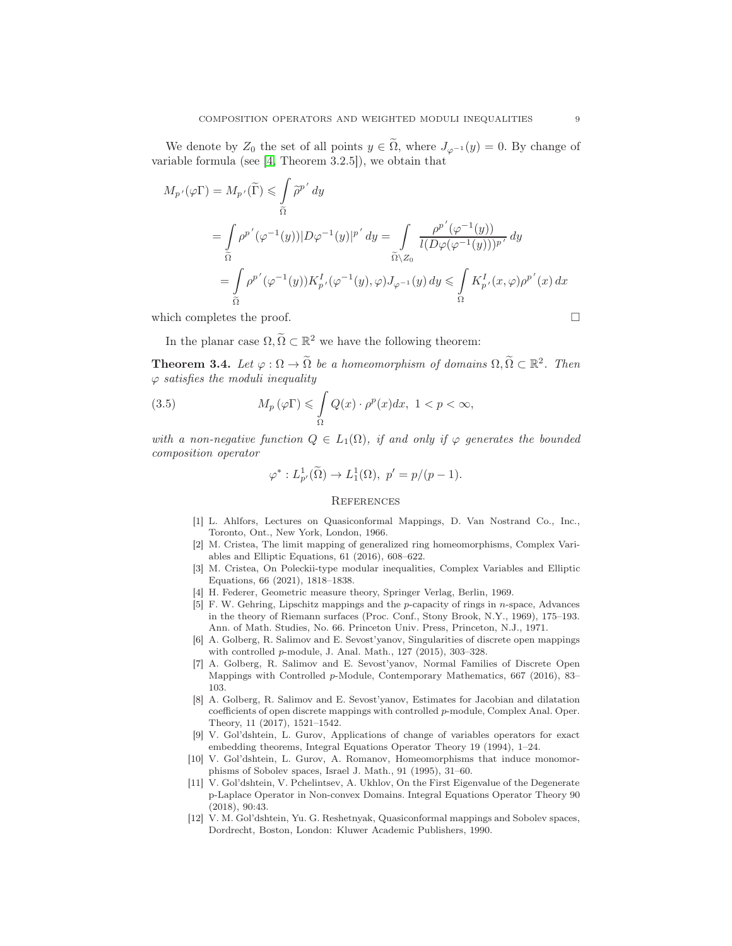We denote by  $Z_0$  the set of all points  $y \in \Omega$ , where  $J_{\varphi^{-1}}(y) = 0$ . By change of variable formula (see [\[4,](#page-8-10) Theorem 3.2.5]), we obtain that

$$
M_{p'}(\varphi \Gamma) = M_{p'}(\widetilde{\Gamma}) \leq \int_{\widetilde{\Omega}} \widetilde{\rho}^{p'} dy
$$
  
\n
$$
= \int_{\widetilde{\Omega}} \rho^{p'}(\varphi^{-1}(y)) |D\varphi^{-1}(y)|^{p'} dy = \int_{\widetilde{\Omega} \setminus Z_0} \frac{\rho^{p'}(\varphi^{-1}(y))}{l(D\varphi(\varphi^{-1}(y)))^{p'}} dy
$$
  
\n
$$
= \int_{\widetilde{\Omega}} \rho^{p'}(\varphi^{-1}(y)) K_{p'}^{I}(\varphi^{-1}(y), \varphi) J_{\varphi^{-1}}(y) dy \leq \int_{\Omega} K_{p'}^{I}(x, \varphi) \rho^{p'}(x) dx
$$

which completes the proof.

In the planar case  $\Omega, \tilde{\Omega} \subset \mathbb{R}^2$  we have the following theorem:

**Theorem 3.4.** Let  $\varphi : \Omega \to \tilde{\Omega}$  be a homeomorphism of domains  $\Omega, \tilde{\Omega} \subset \mathbb{R}^2$ . Then  $\varphi$  *satisfies the moduli inequality* 

(3.5) 
$$
M_p(\varphi \Gamma) \leq \int_{\Omega} Q(x) \cdot \rho^p(x) dx, \ 1 < p < \infty,
$$

*with a non-negative function*  $Q \in L_1(\Omega)$ *, if and only if*  $\varphi$  *generates the bounded composition operator*

$$
\varphi^*: L^1_{p'}(\widetilde{\Omega}) \to L^1_1(\Omega), \ p' = p/(p-1).
$$

### **REFERENCES**

- <span id="page-8-0"></span>[1] L. Ahlfors, Lectures on Quasiconformal Mappings, D. Van Nostrand Co., Inc., Toronto, Ont., New York, London, 1966.
- <span id="page-8-4"></span>[2] M. Cristea, The limit mapping of generalized ring homeomorphisms, Complex Variables and Elliptic Equations, 61 (2016), 608–622.
- <span id="page-8-5"></span>[3] M. Cristea, On Poleckii-type modular inequalities, Complex Variables and Elliptic Equations, 66 (2021), 1818–1838.
- <span id="page-8-10"></span><span id="page-8-1"></span>[4] H. Federer, Geometric measure theory, Springer Verlag, Berlin, 1969.
- [5] F. W. Gehring, Lipschitz mappings and the p-capacity of rings in n-space, Advances in the theory of Riemann surfaces (Proc. Conf., Stony Brook, N.Y., 1969), 175–193. Ann. of Math. Studies, No. 66. Princeton Univ. Press, Princeton, N.J., 1971.
- <span id="page-8-2"></span>[6] A. Golberg, R. Salimov and E. Sevost'yanov, Singularities of discrete open mappings with controlled p-module, J. Anal. Math., 127 (2015), 303–328.
- <span id="page-8-3"></span>[7] A. Golberg, R. Salimov and E. Sevost'yanov, Normal Families of Discrete Open Mappings with Controlled p-Module, Contemporary Mathematics, 667 (2016), 83– 103.
- <span id="page-8-11"></span>[8] A. Golberg, R. Salimov and E. Sevost'yanov, Estimates for Jacobian and dilatation coefficients of open discrete mappings with controlled p-module, Complex Anal. Oper. Theory, 11 (2017), 1521–1542.
- <span id="page-8-6"></span>[9] V. Gol'dshtein, L. Gurov, Applications of change of variables operators for exact embedding theorems, Integral Equations Operator Theory 19 (1994), 1–24.
- <span id="page-8-7"></span>[10] V. Gol'dshtein, L. Gurov, A. Romanov, Homeomorphisms that induce monomorphisms of Sobolev spaces, Israel J. Math., 91 (1995), 31–60.
- <span id="page-8-8"></span>[11] V. Gol'dshtein, V. Pchelintsev, A. Ukhlov, On the First Eigenvalue of the Degenerate p-Laplace Operator in Non-convex Domains. Integral Equations Operator Theory 90 (2018), 90:43.
- <span id="page-8-9"></span>[12] V. M. Gol'dshtein, Yu. G. Reshetnyak, Quasiconformal mappings and Sobolev spaces, Dordrecht, Boston, London: Kluwer Academic Publishers, 1990.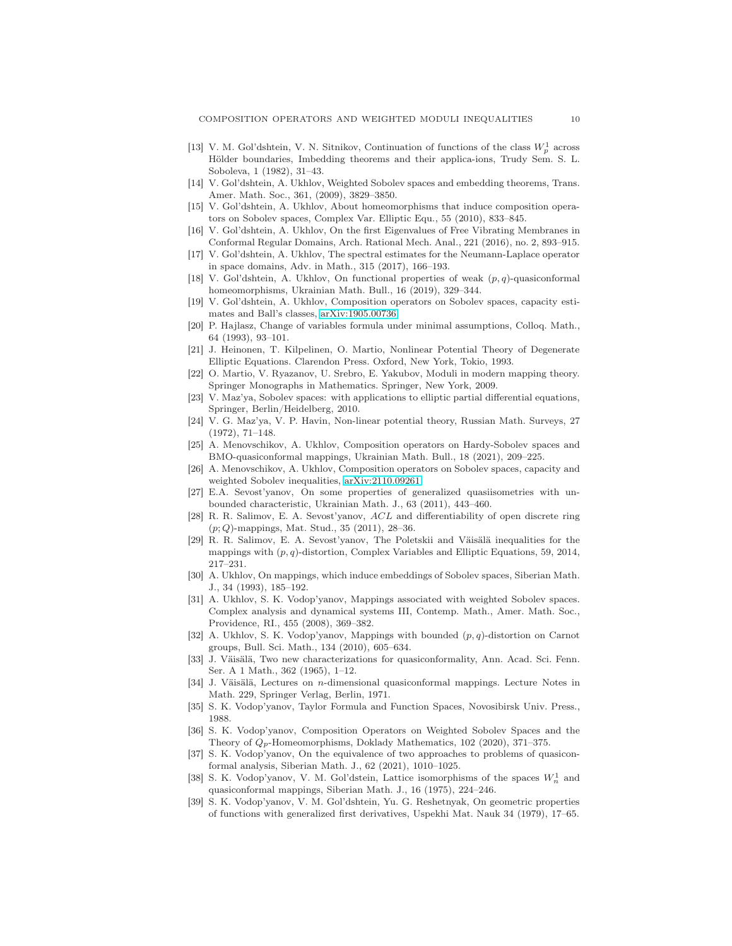- <span id="page-9-9"></span>[13] V. M. Gol'dshtein, V. N. Sitnikov, Continuation of functions of the class  $W_p^1$  across Hölder boundaries, Imbedding theorems and their applica-ions, Trudy Sem. S. L. Soboleva, 1 (1982), 31–43.
- <span id="page-9-23"></span><span id="page-9-10"></span>[14] V. Gol'dshtein, A. Ukhlov, Weighted Sobolev spaces and embedding theorems, Trans. Amer. Math. Soc., 361, (2009), 3829–3850.
- [15] V. Gol'dshtein, A. Ukhlov, About homeomorphisms that induce composition operators on Sobolev spaces, Complex Var. Elliptic Equ., 55 (2010), 833–845.
- <span id="page-9-14"></span><span id="page-9-13"></span>[16] V. Gol'dshtein, A. Ukhlov, On the first Eigenvalues of Free Vibrating Membranes in Conformal Regular Domains, Arch. Rational Mech. Anal., 221 (2016), no. 2, 893–915.
- <span id="page-9-24"></span>[17] V. Gol'dshtein, A. Ukhlov, The spectral estimates for the Neumann-Laplace operator in space domains, Adv. in Math., 315 (2017), 166–193.
- [18] V. Gol'dshtein, A. Ukhlov, On functional properties of weak  $(p, q)$ -quasiconformal homeomorphisms, Ukrainian Math. Bull., 16 (2019), 329–344.
- <span id="page-9-25"></span>[19] V. Gol'dshtein, A. Ukhlov, Composition operators on Sobolev spaces, capacity estimates and Ball's classes, [arXiv:1905.00736.](http://arxiv.org/abs/1905.00736)
- <span id="page-9-21"></span>[20] P. Hajlasz, Change of variables formula under minimal assumptions, Colloq. Math., 64 (1993), 93–101.
- <span id="page-9-19"></span>[21] J. Heinonen, T. Kilpelinen, O. Martio, Nonlinear Potential Theory of Degenerate Elliptic Equations. Clarendon Press. Oxford, New York, Tokio, 1993.
- <span id="page-9-17"></span>[22] O. Martio, V. Ryazanov, U. Srebro, E. Yakubov, Moduli in modern mapping theory. Springer Monographs in Mathematics. Springer, New York, 2009.
- <span id="page-9-20"></span><span id="page-9-18"></span>[23] V. Maz'ya, Sobolev spaces: with applications to elliptic partial differential equations, Springer, Berlin/Heidelberg, 2010.
- [24] V. G. Maz'ya, V. P. Havin, Non-linear potential theory, Russian Math. Surveys, 27 (1972), 71–148.
- <span id="page-9-15"></span>[25] A. Menovschikov, A. Ukhlov, Composition operators on Hardy-Sobolev spaces and BMO-quasiconformal mappings, Ukrainian Math. Bull., 18 (2021), 209–225.
- <span id="page-9-16"></span>[26] A. Menovschikov, A. Ukhlov, Composition operators on Sobolev spaces, capacity and weighted Sobolev inequalities, [arXiv:2110.09261.](http://arxiv.org/abs/2110.09261)
- <span id="page-9-7"></span>[27] E.A. Sevost'yanov, On some properties of generalized quasiisometries with unbounded characteristic, Ukrainian Math. J., 63 (2011), 443–460.
- <span id="page-9-6"></span>[28] R. R. Salimov, E. A. Sevost'yanov, ACL and differentiability of open discrete ring (p; Q)-mappings, Mat. Stud., 35 (2011), 28–36.
- <span id="page-9-8"></span>[29] R. R. Salimov, E. A. Sevost'yanov, The Poletskii and Väisälä inequalities for the mappings with  $(p, q)$ -distortion, Complex Variables and Elliptic Equations, 59, 2014, 217–231.
- <span id="page-9-1"></span>[30] A. Ukhlov, On mappings, which induce embeddings of Sobolev spaces, Siberian Math. J., 34 (1993), 185–192.
- <span id="page-9-4"></span>[31] A. Ukhlov, S. K. Vodop'yanov, Mappings associated with weighted Sobolev spaces. Complex analysis and dynamical systems III, Contemp. Math., Amer. Math. Soc., Providence, RI., 455 (2008), 369–382.
- <span id="page-9-2"></span>[32] A. Ukhlov, S. K. Vodop'yanov, Mappings with bounded (p, q)-distortion on Carnot groups, Bull. Sci. Math., 134 (2010), 605–634.
- <span id="page-9-26"></span>[33] J. Väisälä, Two new characterizations for quasiconformality, Ann. Acad. Sci. Fenn. Ser. A 1 Math., 362 (1965), 1–12.
- <span id="page-9-0"></span>[34] J. Väisälä, Lectures on n-dimensional quasiconformal mappings. Lecture Notes in Math. 229, Springer Verlag, Berlin, 1971.
- <span id="page-9-12"></span><span id="page-9-5"></span>[35] S. K. Vodop'yanov, Taylor Formula and Function Spaces, Novosibirsk Univ. Press., 1988.
- [36] S. K. Vodop'yanov, Composition Operators on Weighted Sobolev Spaces and the Theory of  $Q_p$ -Homeomorphisms, Doklady Mathematics, 102 (2020), 371–375.
- <span id="page-9-3"></span>[37] S. K. Vodop'yanov, On the equivalence of two approaches to problems of quasiconformal analysis, Siberian Math. J., 62 (2021), 1010–1025.
- <span id="page-9-11"></span>[38] S. K. Vodop'yanov, V. M. Gol'dstein, Lattice isomorphisms of the spaces  $W_n^1$  and quasiconformal mappings, Siberian Math. J., 16 (1975), 224–246.
- <span id="page-9-22"></span>[39] S. K. Vodop'yanov, V. M. Gol'dshtein, Yu. G. Reshetnyak, On geometric properties of functions with generalized first derivatives, Uspekhi Mat. Nauk 34 (1979), 17–65.